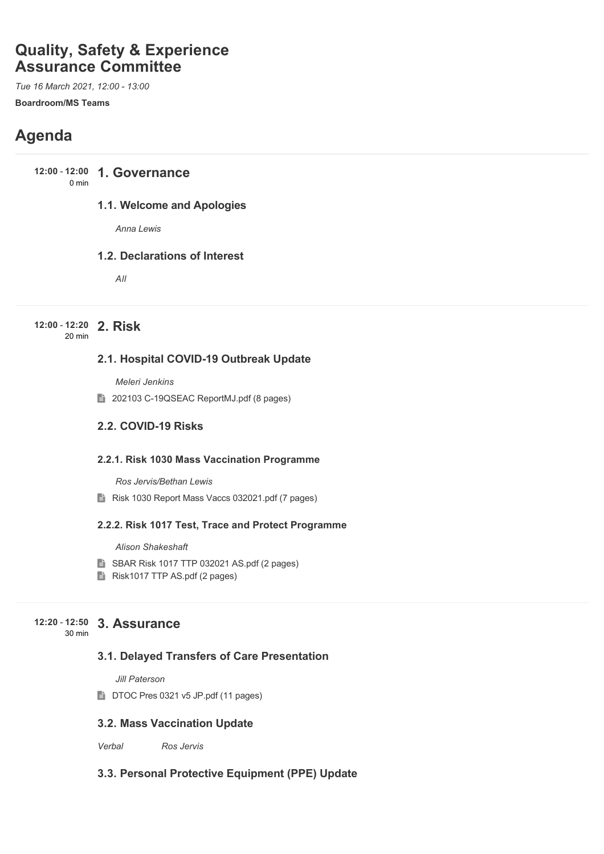# **Quality, Safety & Experience Assurance Committee**

*Tue 16 March 2021, 12:00 - 13:00* **Boardroom/MS Teams**

# **Agenda**

**12:00 - 12:00 1. Governance** 0 min

### **1.1. Welcome and Apologies**

*Anna Lewis*

### **1.2. Declarations of Interest**

*All*

#### **2. Risk 12:00** - **12:20** 20 min

### **2.1. Hospital COVID-19 Outbreak Update**

*Meleri Jenkins*

202103 C-19QSEAC ReportMJ.pdf (8 pages)

### **2.2. COVID-19 Risks**

### **2.2.1. Risk 1030 Mass Vaccination Programme**

*Ros Jervis/Bethan Lewis*

Risk 1030 Report Mass Vaccs 032021.pdf (7 pages)

### **2.2.2. Risk 1017 Test, Trace and Protect Programme**

*Alison Shakeshaft*

- **SBAR Risk 1017 TTP 032021 AS.pdf (2 pages)**
- Risk1017 TTP AS.pdf (2 pages)

#### **3. Assurance 12:20** - **12:50** 30 min

## **3.1. Delayed Transfers of Care Presentation**

*Jill Paterson*

DTOC Pres 0321 v5 JP.pdf (11 pages)

### **3.2. Mass Vaccination Update**

*Verbal Ros Jervis*

### **3.3. Personal Protective Equipment (PPE) Update**